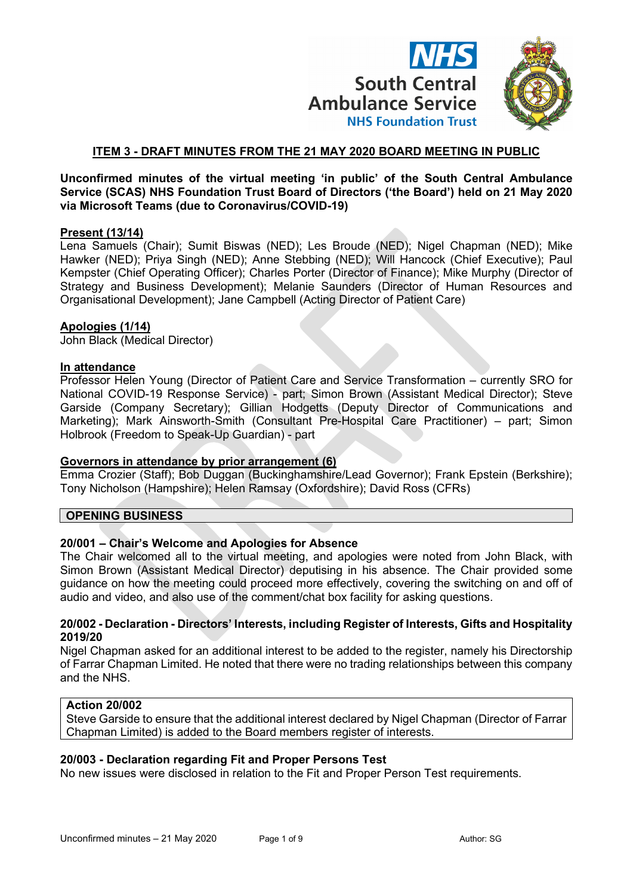

# **ITEM 3 - DRAFT MINUTES FROM THE 21 MAY 2020 BOARD MEETING IN PUBLIC**

#### **Unconfirmed minutes of the virtual meeting 'in public' of the South Central Ambulance Service (SCAS) NHS Foundation Trust Board of Directors ('the Board') held on 21 May 2020 via Microsoft Teams (due to Coronavirus/COVID-19)**

#### **Present (13/14)**

Lena Samuels (Chair); Sumit Biswas (NED); Les Broude (NED); Nigel Chapman (NED); Mike Hawker (NED); Priya Singh (NED); Anne Stebbing (NED); Will Hancock (Chief Executive); Paul Kempster (Chief Operating Officer); Charles Porter (Director of Finance); Mike Murphy (Director of Strategy and Business Development); Melanie Saunders (Director of Human Resources and Organisational Development); Jane Campbell (Acting Director of Patient Care)

#### **Apologies (1/14)**

John Black (Medical Director)

#### **In attendance**

Professor Helen Young (Director of Patient Care and Service Transformation – currently SRO for National COVID-19 Response Service) - part; Simon Brown (Assistant Medical Director); Steve Garside (Company Secretary); Gillian Hodgetts (Deputy Director of Communications and Marketing); Mark Ainsworth-Smith (Consultant Pre-Hospital Care Practitioner) – part; Simon Holbrook (Freedom to Speak-Up Guardian) - part

# **Governors in attendance by prior arrangement (6)**

Emma Crozier (Staff); Bob Duggan (Buckinghamshire/Lead Governor); Frank Epstein (Berkshire); Tony Nicholson (Hampshire); Helen Ramsay (Oxfordshire); David Ross (CFRs)

#### **OPENING BUSINESS**

# **20/001 – Chair's Welcome and Apologies for Absence**

The Chair welcomed all to the virtual meeting, and apologies were noted from John Black, with Simon Brown (Assistant Medical Director) deputising in his absence. The Chair provided some guidance on how the meeting could proceed more effectively, covering the switching on and off of audio and video, and also use of the comment/chat box facility for asking questions.

#### **20/002 - Declaration - Directors' Interests, including Register of Interests, Gifts and Hospitality 2019/20**

Nigel Chapman asked for an additional interest to be added to the register, namely his Directorship of Farrar Chapman Limited. He noted that there were no trading relationships between this company and the NHS.

#### **Action 20/002**

Steve Garside to ensure that the additional interest declared by Nigel Chapman (Director of Farrar Chapman Limited) is added to the Board members register of interests.

#### **20/003 - Declaration regarding Fit and Proper Persons Test**

No new issues were disclosed in relation to the Fit and Proper Person Test requirements.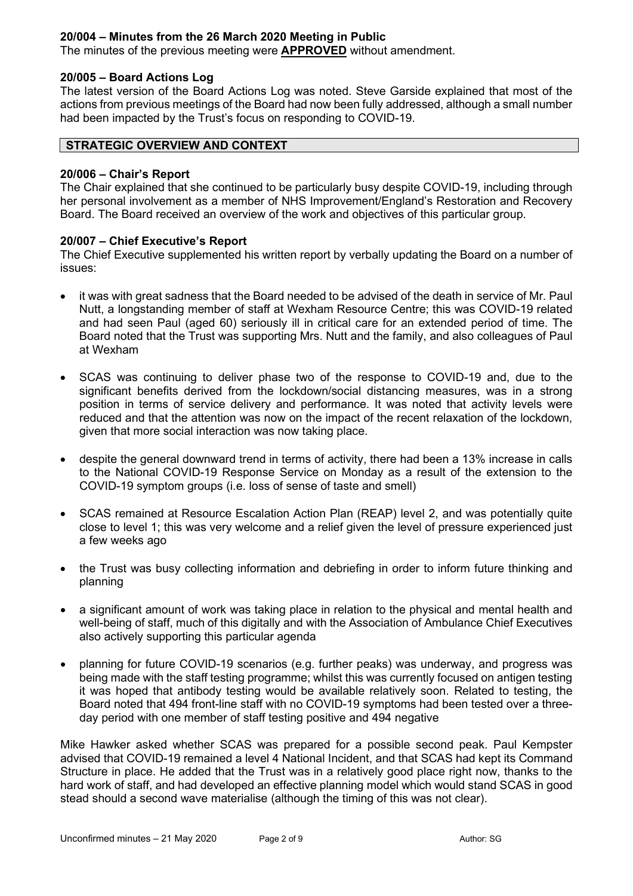# **20/004 – Minutes from the 26 March 2020 Meeting in Public**

The minutes of the previous meeting were **APPROVED** without amendment.

#### **20/005 – Board Actions Log**

The latest version of the Board Actions Log was noted. Steve Garside explained that most of the actions from previous meetings of the Board had now been fully addressed, although a small number had been impacted by the Trust's focus on responding to COVID-19.

# **STRATEGIC OVERVIEW AND CONTEXT**

#### **20/006 – Chair's Report**

The Chair explained that she continued to be particularly busy despite COVID-19, including through her personal involvement as a member of NHS Improvement/England's Restoration and Recovery Board. The Board received an overview of the work and objectives of this particular group.

#### **20/007 – Chief Executive's Report**

The Chief Executive supplemented his written report by verbally updating the Board on a number of issues:

- it was with great sadness that the Board needed to be advised of the death in service of Mr. Paul Nutt, a longstanding member of staff at Wexham Resource Centre; this was COVID-19 related and had seen Paul (aged 60) seriously ill in critical care for an extended period of time. The Board noted that the Trust was supporting Mrs. Nutt and the family, and also colleagues of Paul at Wexham
- SCAS was continuing to deliver phase two of the response to COVID-19 and, due to the significant benefits derived from the lockdown/social distancing measures, was in a strong position in terms of service delivery and performance. It was noted that activity levels were reduced and that the attention was now on the impact of the recent relaxation of the lockdown, given that more social interaction was now taking place.
- despite the general downward trend in terms of activity, there had been a 13% increase in calls to the National COVID-19 Response Service on Monday as a result of the extension to the COVID-19 symptom groups (i.e. loss of sense of taste and smell)
- SCAS remained at Resource Escalation Action Plan (REAP) level 2, and was potentially quite close to level 1; this was very welcome and a relief given the level of pressure experienced just a few weeks ago
- the Trust was busy collecting information and debriefing in order to inform future thinking and planning
- a significant amount of work was taking place in relation to the physical and mental health and well-being of staff, much of this digitally and with the Association of Ambulance Chief Executives also actively supporting this particular agenda
- planning for future COVID-19 scenarios (e.g. further peaks) was underway, and progress was being made with the staff testing programme; whilst this was currently focused on antigen testing it was hoped that antibody testing would be available relatively soon. Related to testing, the Board noted that 494 front-line staff with no COVID-19 symptoms had been tested over a threeday period with one member of staff testing positive and 494 negative

Mike Hawker asked whether SCAS was prepared for a possible second peak. Paul Kempster advised that COVID-19 remained a level 4 National Incident, and that SCAS had kept its Command Structure in place. He added that the Trust was in a relatively good place right now, thanks to the hard work of staff, and had developed an effective planning model which would stand SCAS in good stead should a second wave materialise (although the timing of this was not clear).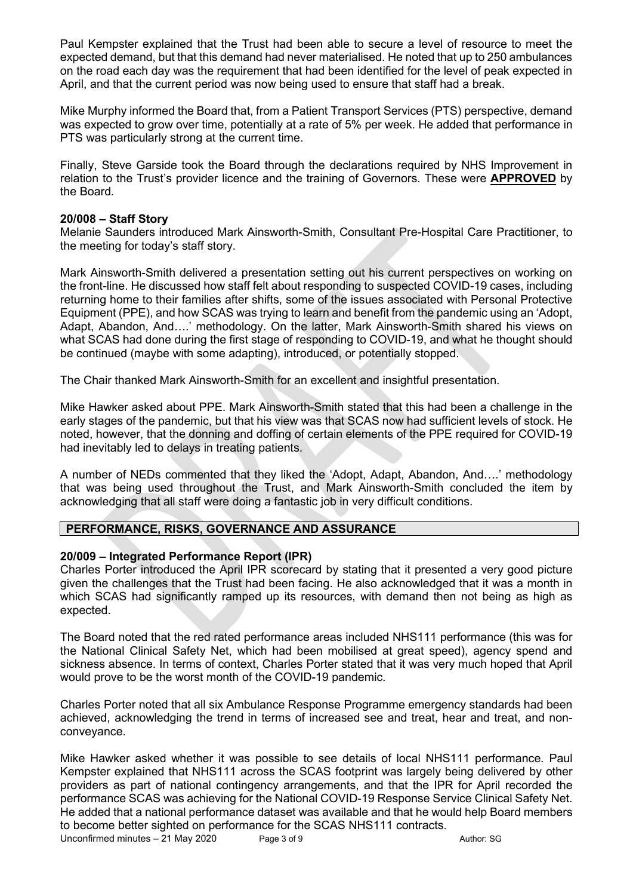Paul Kempster explained that the Trust had been able to secure a level of resource to meet the expected demand, but that this demand had never materialised. He noted that up to 250 ambulances on the road each day was the requirement that had been identified for the level of peak expected in April, and that the current period was now being used to ensure that staff had a break.

Mike Murphy informed the Board that, from a Patient Transport Services (PTS) perspective, demand was expected to grow over time, potentially at a rate of 5% per week. He added that performance in PTS was particularly strong at the current time.

Finally, Steve Garside took the Board through the declarations required by NHS Improvement in relation to the Trust's provider licence and the training of Governors. These were **APPROVED** by the Board.

### **20/008 – Staff Story**

Melanie Saunders introduced Mark Ainsworth-Smith, Consultant Pre-Hospital Care Practitioner, to the meeting for today's staff story.

Mark Ainsworth-Smith delivered a presentation setting out his current perspectives on working on the front-line. He discussed how staff felt about responding to suspected COVID-19 cases, including returning home to their families after shifts, some of the issues associated with Personal Protective Equipment (PPE), and how SCAS was trying to learn and benefit from the pandemic using an 'Adopt, Adapt, Abandon, And….' methodology. On the latter, Mark Ainsworth-Smith shared his views on what SCAS had done during the first stage of responding to COVID-19, and what he thought should be continued (maybe with some adapting), introduced, or potentially stopped.

The Chair thanked Mark Ainsworth-Smith for an excellent and insightful presentation.

Mike Hawker asked about PPE. Mark Ainsworth-Smith stated that this had been a challenge in the early stages of the pandemic, but that his view was that SCAS now had sufficient levels of stock. He noted, however, that the donning and doffing of certain elements of the PPE required for COVID-19 had inevitably led to delays in treating patients.

A number of NEDs commented that they liked the 'Adopt, Adapt, Abandon, And….' methodology that was being used throughout the Trust, and Mark Ainsworth-Smith concluded the item by acknowledging that all staff were doing a fantastic job in very difficult conditions.

# **PERFORMANCE, RISKS, GOVERNANCE AND ASSURANCE**

#### **20/009 – Integrated Performance Report (IPR)**

Charles Porter introduced the April IPR scorecard by stating that it presented a very good picture given the challenges that the Trust had been facing. He also acknowledged that it was a month in which SCAS had significantly ramped up its resources, with demand then not being as high as expected.

The Board noted that the red rated performance areas included NHS111 performance (this was for the National Clinical Safety Net, which had been mobilised at great speed), agency spend and sickness absence. In terms of context, Charles Porter stated that it was very much hoped that April would prove to be the worst month of the COVID-19 pandemic.

Charles Porter noted that all six Ambulance Response Programme emergency standards had been achieved, acknowledging the trend in terms of increased see and treat, hear and treat, and nonconveyance.

Mike Hawker asked whether it was possible to see details of local NHS111 performance. Paul Kempster explained that NHS111 across the SCAS footprint was largely being delivered by other providers as part of national contingency arrangements, and that the IPR for April recorded the performance SCAS was achieving for the National COVID-19 Response Service Clinical Safety Net. He added that a national performance dataset was available and that he would help Board members to become better sighted on performance for the SCAS NHS111 contracts.

Unconfirmed minutes – 21 May 2020 Page 3 of 9 Author: SG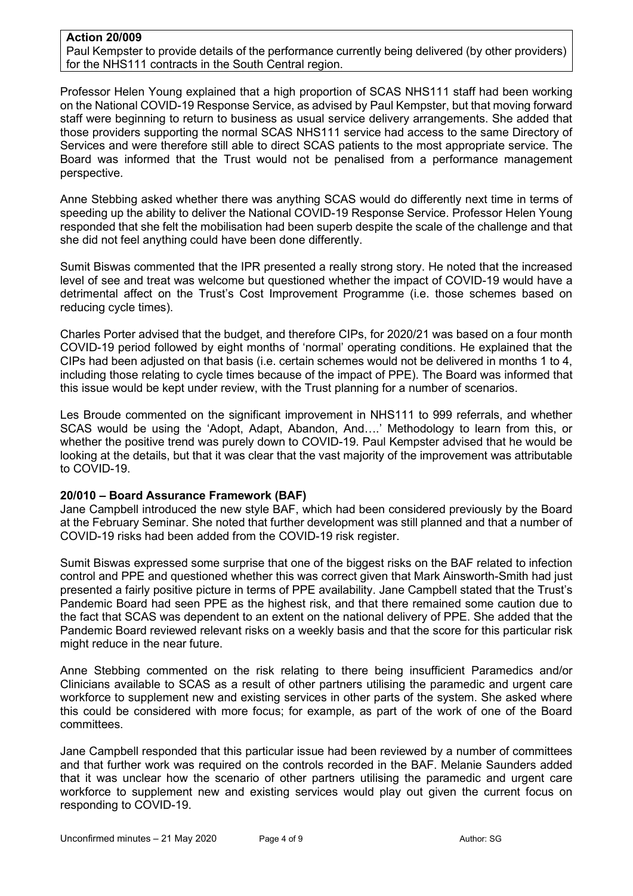#### **Action 20/009**

Paul Kempster to provide details of the performance currently being delivered (by other providers) for the NHS111 contracts in the South Central region.

Professor Helen Young explained that a high proportion of SCAS NHS111 staff had been working on the National COVID-19 Response Service, as advised by Paul Kempster, but that moving forward staff were beginning to return to business as usual service delivery arrangements. She added that those providers supporting the normal SCAS NHS111 service had access to the same Directory of Services and were therefore still able to direct SCAS patients to the most appropriate service. The Board was informed that the Trust would not be penalised from a performance management perspective.

Anne Stebbing asked whether there was anything SCAS would do differently next time in terms of speeding up the ability to deliver the National COVID-19 Response Service. Professor Helen Young responded that she felt the mobilisation had been superb despite the scale of the challenge and that she did not feel anything could have been done differently.

Sumit Biswas commented that the IPR presented a really strong story. He noted that the increased level of see and treat was welcome but questioned whether the impact of COVID-19 would have a detrimental affect on the Trust's Cost Improvement Programme (i.e. those schemes based on reducing cycle times).

Charles Porter advised that the budget, and therefore CIPs, for 2020/21 was based on a four month COVID-19 period followed by eight months of 'normal' operating conditions. He explained that the CIPs had been adjusted on that basis (i.e. certain schemes would not be delivered in months 1 to 4, including those relating to cycle times because of the impact of PPE). The Board was informed that this issue would be kept under review, with the Trust planning for a number of scenarios.

Les Broude commented on the significant improvement in NHS111 to 999 referrals, and whether SCAS would be using the 'Adopt, Adapt, Abandon, And….' Methodology to learn from this, or whether the positive trend was purely down to COVID-19. Paul Kempster advised that he would be looking at the details, but that it was clear that the vast majority of the improvement was attributable to COVID-19.

# **20/010 – Board Assurance Framework (BAF)**

Jane Campbell introduced the new style BAF, which had been considered previously by the Board at the February Seminar. She noted that further development was still planned and that a number of COVID-19 risks had been added from the COVID-19 risk register.

Sumit Biswas expressed some surprise that one of the biggest risks on the BAF related to infection control and PPE and questioned whether this was correct given that Mark Ainsworth-Smith had just presented a fairly positive picture in terms of PPE availability. Jane Campbell stated that the Trust's Pandemic Board had seen PPE as the highest risk, and that there remained some caution due to the fact that SCAS was dependent to an extent on the national delivery of PPE. She added that the Pandemic Board reviewed relevant risks on a weekly basis and that the score for this particular risk might reduce in the near future.

Anne Stebbing commented on the risk relating to there being insufficient Paramedics and/or Clinicians available to SCAS as a result of other partners utilising the paramedic and urgent care workforce to supplement new and existing services in other parts of the system. She asked where this could be considered with more focus; for example, as part of the work of one of the Board committees.

Jane Campbell responded that this particular issue had been reviewed by a number of committees and that further work was required on the controls recorded in the BAF. Melanie Saunders added that it was unclear how the scenario of other partners utilising the paramedic and urgent care workforce to supplement new and existing services would play out given the current focus on responding to COVID-19.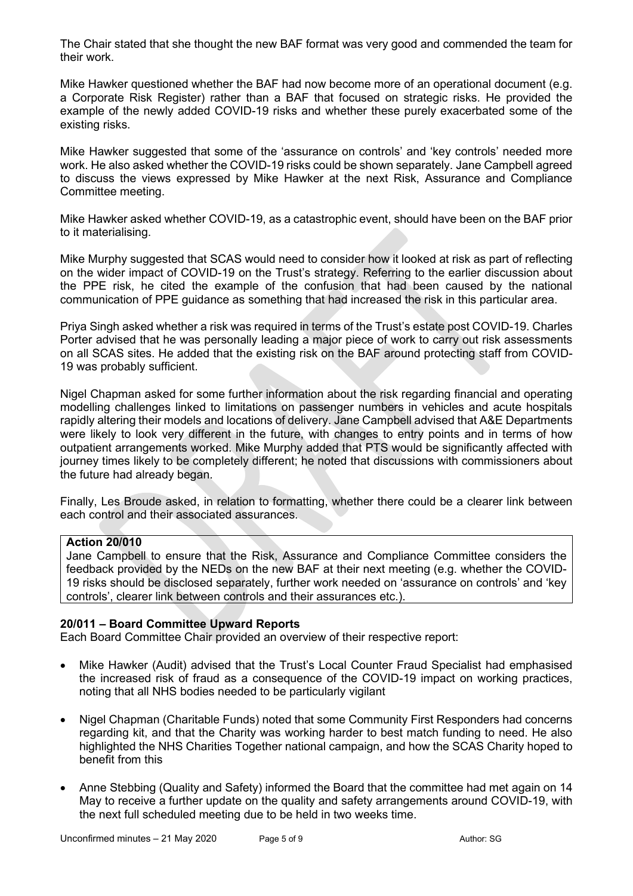The Chair stated that she thought the new BAF format was very good and commended the team for their work.

Mike Hawker questioned whether the BAF had now become more of an operational document (e.g. a Corporate Risk Register) rather than a BAF that focused on strategic risks. He provided the example of the newly added COVID-19 risks and whether these purely exacerbated some of the existing risks.

Mike Hawker suggested that some of the 'assurance on controls' and 'key controls' needed more work. He also asked whether the COVID-19 risks could be shown separately. Jane Campbell agreed to discuss the views expressed by Mike Hawker at the next Risk, Assurance and Compliance Committee meeting.

Mike Hawker asked whether COVID-19, as a catastrophic event, should have been on the BAF prior to it materialising.

Mike Murphy suggested that SCAS would need to consider how it looked at risk as part of reflecting on the wider impact of COVID-19 on the Trust's strategy. Referring to the earlier discussion about the PPE risk, he cited the example of the confusion that had been caused by the national communication of PPE guidance as something that had increased the risk in this particular area.

Priya Singh asked whether a risk was required in terms of the Trust's estate post COVID-19. Charles Porter advised that he was personally leading a major piece of work to carry out risk assessments on all SCAS sites. He added that the existing risk on the BAF around protecting staff from COVID-19 was probably sufficient.

Nigel Chapman asked for some further information about the risk regarding financial and operating modelling challenges linked to limitations on passenger numbers in vehicles and acute hospitals rapidly altering their models and locations of delivery. Jane Campbell advised that A&E Departments were likely to look very different in the future, with changes to entry points and in terms of how outpatient arrangements worked. Mike Murphy added that PTS would be significantly affected with journey times likely to be completely different; he noted that discussions with commissioners about the future had already began.

Finally, Les Broude asked, in relation to formatting, whether there could be a clearer link between each control and their associated assurances.

# **Action 20/010**

Jane Campbell to ensure that the Risk, Assurance and Compliance Committee considers the feedback provided by the NEDs on the new BAF at their next meeting (e.g. whether the COVID-19 risks should be disclosed separately, further work needed on 'assurance on controls' and 'key controls', clearer link between controls and their assurances etc.).

# **20/011 – Board Committee Upward Reports**

Each Board Committee Chair provided an overview of their respective report:

- Mike Hawker (Audit) advised that the Trust's Local Counter Fraud Specialist had emphasised the increased risk of fraud as a consequence of the COVID-19 impact on working practices, noting that all NHS bodies needed to be particularly vigilant
- Nigel Chapman (Charitable Funds) noted that some Community First Responders had concerns regarding kit, and that the Charity was working harder to best match funding to need. He also highlighted the NHS Charities Together national campaign, and how the SCAS Charity hoped to benefit from this
- Anne Stebbing (Quality and Safety) informed the Board that the committee had met again on 14 May to receive a further update on the quality and safety arrangements around COVID-19, with the next full scheduled meeting due to be held in two weeks time.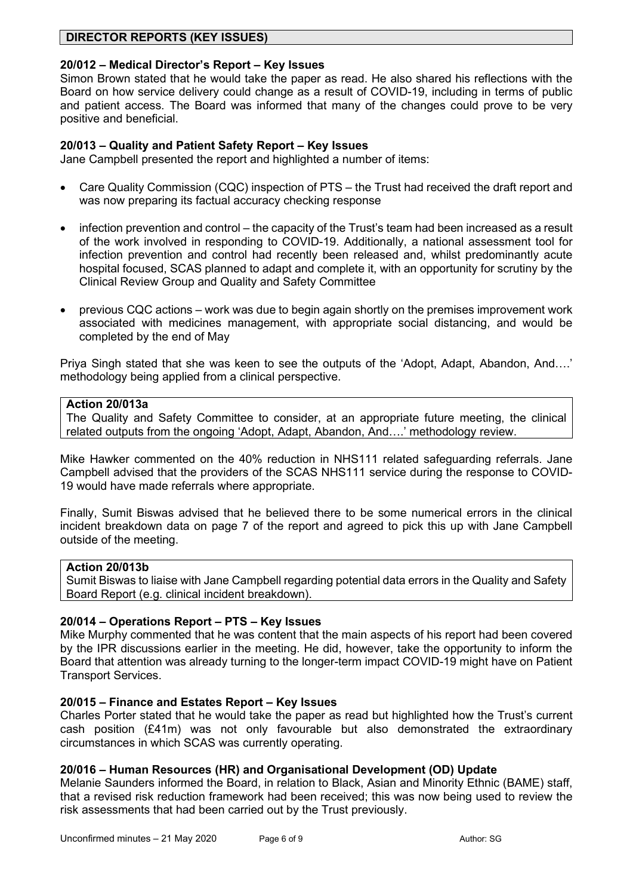# **DIRECTOR REPORTS (KEY ISSUES)**

# **20/012 – Medical Director's Report – Key Issues**

Simon Brown stated that he would take the paper as read. He also shared his reflections with the Board on how service delivery could change as a result of COVID-19, including in terms of public and patient access. The Board was informed that many of the changes could prove to be very positive and beneficial.

#### **20/013 – Quality and Patient Safety Report – Key Issues**

Jane Campbell presented the report and highlighted a number of items:

- Care Quality Commission (CQC) inspection of PTS the Trust had received the draft report and was now preparing its factual accuracy checking response
- infection prevention and control the capacity of the Trust's team had been increased as a result of the work involved in responding to COVID-19. Additionally, a national assessment tool for infection prevention and control had recently been released and, whilst predominantly acute hospital focused, SCAS planned to adapt and complete it, with an opportunity for scrutiny by the Clinical Review Group and Quality and Safety Committee
- previous CQC actions work was due to begin again shortly on the premises improvement work associated with medicines management, with appropriate social distancing, and would be completed by the end of May

Priya Singh stated that she was keen to see the outputs of the 'Adopt, Adapt, Abandon, And….' methodology being applied from a clinical perspective.

### **Action 20/013a**

The Quality and Safety Committee to consider, at an appropriate future meeting, the clinical related outputs from the ongoing 'Adopt, Adapt, Abandon, And….' methodology review.

Mike Hawker commented on the 40% reduction in NHS111 related safeguarding referrals. Jane Campbell advised that the providers of the SCAS NHS111 service during the response to COVID-19 would have made referrals where appropriate.

Finally, Sumit Biswas advised that he believed there to be some numerical errors in the clinical incident breakdown data on page 7 of the report and agreed to pick this up with Jane Campbell outside of the meeting.

### **Action 20/013b**

Sumit Biswas to liaise with Jane Campbell regarding potential data errors in the Quality and Safety Board Report (e.g. clinical incident breakdown).

# **20/014 – Operations Report – PTS – Key Issues**

Mike Murphy commented that he was content that the main aspects of his report had been covered by the IPR discussions earlier in the meeting. He did, however, take the opportunity to inform the Board that attention was already turning to the longer-term impact COVID-19 might have on Patient Transport Services.

#### **20/015 – Finance and Estates Report – Key Issues**

Charles Porter stated that he would take the paper as read but highlighted how the Trust's current cash position (£41m) was not only favourable but also demonstrated the extraordinary circumstances in which SCAS was currently operating.

#### **20/016 – Human Resources (HR) and Organisational Development (OD) Update**

Melanie Saunders informed the Board, in relation to Black, Asian and Minority Ethnic (BAME) staff, that a revised risk reduction framework had been received; this was now being used to review the risk assessments that had been carried out by the Trust previously.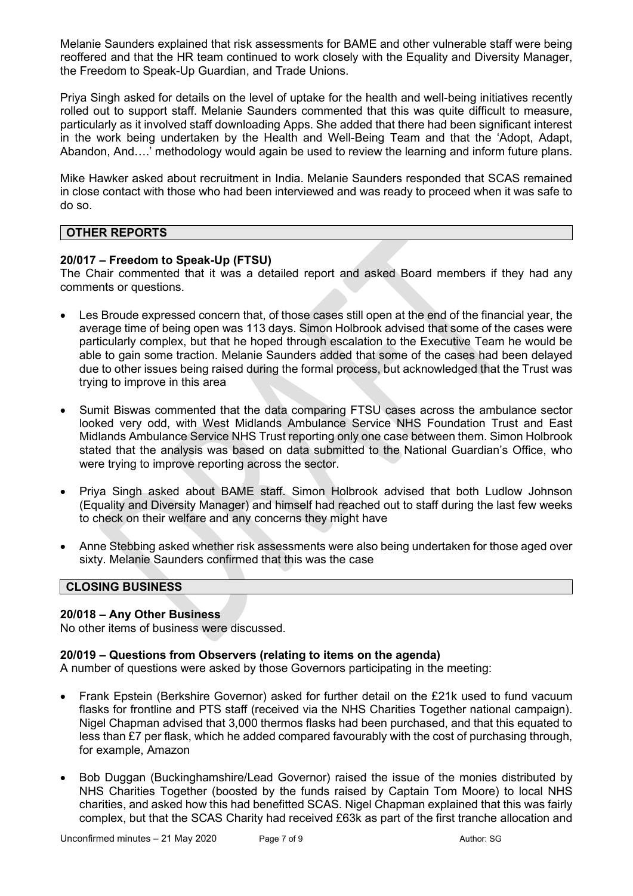Melanie Saunders explained that risk assessments for BAME and other vulnerable staff were being reoffered and that the HR team continued to work closely with the Equality and Diversity Manager, the Freedom to Speak-Up Guardian, and Trade Unions.

Priya Singh asked for details on the level of uptake for the health and well-being initiatives recently rolled out to support staff. Melanie Saunders commented that this was quite difficult to measure, particularly as it involved staff downloading Apps. She added that there had been significant interest in the work being undertaken by the Health and Well-Being Team and that the 'Adopt, Adapt, Abandon, And….' methodology would again be used to review the learning and inform future plans.

Mike Hawker asked about recruitment in India. Melanie Saunders responded that SCAS remained in close contact with those who had been interviewed and was ready to proceed when it was safe to do so.

# **OTHER REPORTS**

# **20/017 – Freedom to Speak-Up (FTSU)**

The Chair commented that it was a detailed report and asked Board members if they had any comments or questions.

- Les Broude expressed concern that, of those cases still open at the end of the financial year, the average time of being open was 113 days. Simon Holbrook advised that some of the cases were particularly complex, but that he hoped through escalation to the Executive Team he would be able to gain some traction. Melanie Saunders added that some of the cases had been delayed due to other issues being raised during the formal process, but acknowledged that the Trust was trying to improve in this area
- Sumit Biswas commented that the data comparing FTSU cases across the ambulance sector looked very odd, with West Midlands Ambulance Service NHS Foundation Trust and East Midlands Ambulance Service NHS Trust reporting only one case between them. Simon Holbrook stated that the analysis was based on data submitted to the National Guardian's Office, who were trying to improve reporting across the sector.
- Priya Singh asked about BAME staff. Simon Holbrook advised that both Ludlow Johnson (Equality and Diversity Manager) and himself had reached out to staff during the last few weeks to check on their welfare and any concerns they might have
- Anne Stebbing asked whether risk assessments were also being undertaken for those aged over sixty. Melanie Saunders confirmed that this was the case

# **CLOSING BUSINESS**

# **20/018 – Any Other Business**

No other items of business were discussed.

# **20/019 – Questions from Observers (relating to items on the agenda)**

A number of questions were asked by those Governors participating in the meeting:

- Frank Epstein (Berkshire Governor) asked for further detail on the £21k used to fund vacuum flasks for frontline and PTS staff (received via the NHS Charities Together national campaign). Nigel Chapman advised that 3,000 thermos flasks had been purchased, and that this equated to less than £7 per flask, which he added compared favourably with the cost of purchasing through, for example, Amazon
- Bob Duggan (Buckinghamshire/Lead Governor) raised the issue of the monies distributed by NHS Charities Together (boosted by the funds raised by Captain Tom Moore) to local NHS charities, and asked how this had benefitted SCAS. Nigel Chapman explained that this was fairly complex, but that the SCAS Charity had received £63k as part of the first tranche allocation and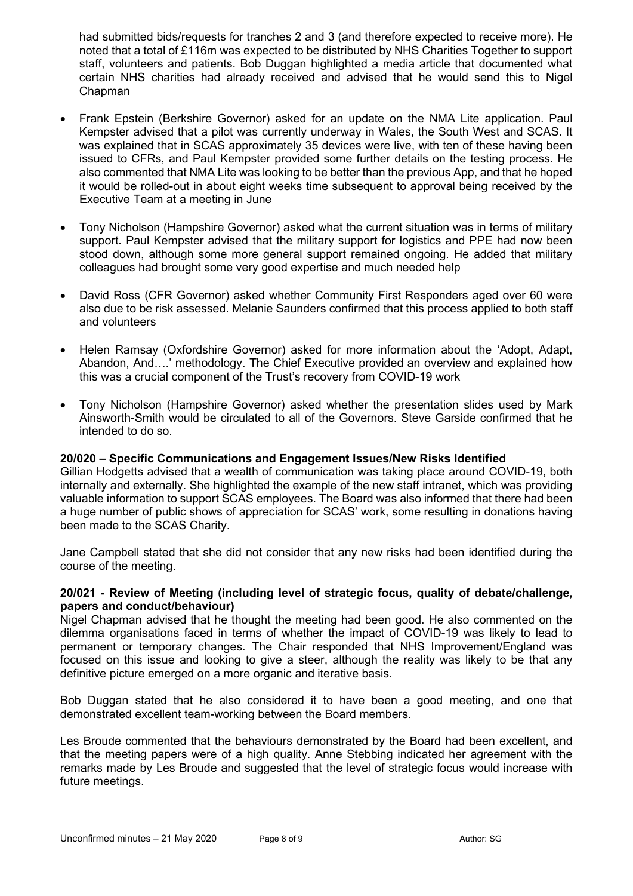had submitted bids/requests for tranches 2 and 3 (and therefore expected to receive more). He noted that a total of £116m was expected to be distributed by NHS Charities Together to support staff, volunteers and patients. Bob Duggan highlighted a media article that documented what certain NHS charities had already received and advised that he would send this to Nigel Chapman

- Frank Epstein (Berkshire Governor) asked for an update on the NMA Lite application. Paul Kempster advised that a pilot was currently underway in Wales, the South West and SCAS. It was explained that in SCAS approximately 35 devices were live, with ten of these having been issued to CFRs, and Paul Kempster provided some further details on the testing process. He also commented that NMA Lite was looking to be better than the previous App, and that he hoped it would be rolled-out in about eight weeks time subsequent to approval being received by the Executive Team at a meeting in June
- Tony Nicholson (Hampshire Governor) asked what the current situation was in terms of military support. Paul Kempster advised that the military support for logistics and PPE had now been stood down, although some more general support remained ongoing. He added that military colleagues had brought some very good expertise and much needed help
- David Ross (CFR Governor) asked whether Community First Responders aged over 60 were also due to be risk assessed. Melanie Saunders confirmed that this process applied to both staff and volunteers
- Helen Ramsay (Oxfordshire Governor) asked for more information about the 'Adopt, Adapt, Abandon, And….' methodology. The Chief Executive provided an overview and explained how this was a crucial component of the Trust's recovery from COVID-19 work
- Tony Nicholson (Hampshire Governor) asked whether the presentation slides used by Mark Ainsworth-Smith would be circulated to all of the Governors. Steve Garside confirmed that he intended to do so.

# **20/020 – Specific Communications and Engagement Issues/New Risks Identified**

Gillian Hodgetts advised that a wealth of communication was taking place around COVID-19, both internally and externally. She highlighted the example of the new staff intranet, which was providing valuable information to support SCAS employees. The Board was also informed that there had been a huge number of public shows of appreciation for SCAS' work, some resulting in donations having been made to the SCAS Charity.

Jane Campbell stated that she did not consider that any new risks had been identified during the course of the meeting.

#### **20/021 - Review of Meeting (including level of strategic focus, quality of debate/challenge, papers and conduct/behaviour)**

Nigel Chapman advised that he thought the meeting had been good. He also commented on the dilemma organisations faced in terms of whether the impact of COVID-19 was likely to lead to permanent or temporary changes. The Chair responded that NHS Improvement/England was focused on this issue and looking to give a steer, although the reality was likely to be that any definitive picture emerged on a more organic and iterative basis.

Bob Duggan stated that he also considered it to have been a good meeting, and one that demonstrated excellent team-working between the Board members.

Les Broude commented that the behaviours demonstrated by the Board had been excellent, and that the meeting papers were of a high quality. Anne Stebbing indicated her agreement with the remarks made by Les Broude and suggested that the level of strategic focus would increase with future meetings.